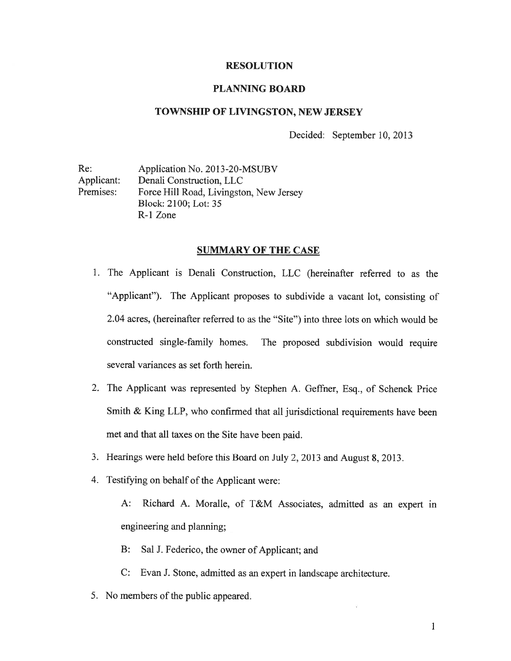### RESOLUTION

### PLANNING BOARD

### TOWNSHIP OF LIVINGSTON, NEW JERSEY

Decided: September 10, 2013

Re: Application No. 2013-20-MSUBV Applicant: Denali Construction, LLC Premises: Force Hill Road, Livingston, New Jersey Block: 2100; Lot: 35 R-1 Zone

# SUMMARY OF THE CASE

- 1. The Applicant is Denali Construction, LLC (hereinafter referred to as the "Applicant"). The Applicant proposes to subdivide <sup>a</sup> vacant lot, consisting of 2.04 acres, (hereinafter referred to as the "Site") into three lots on which would be constructed single-family homes. The propose<sup>d</sup> subdivision would require several variances as set forth herein.
- 2. The Applicant was represented by Stephen A. Geffner, Esq., of Schenck Price Smith & King LLP, who confirmed that all jurisdictional requirements have been met and that all taxes on the Site have been paid.
- 3. Hearings were held before this Board on July 2, <sup>2013</sup> and August 8, 2013.
- 4. Testifying on behalf of the Applicant were:

A: Richard A. Moralle, of T&M Associates, admitted as an exper<sup>t</sup> in engineering and planning;

- B: Sal J. Federico, the owner of Applicant; and
- C: Evan J. Stone, admitted as an exper<sup>t</sup> in landscape architecture.
- 5. No members of the public appeared.

 $\mathbf{1}$ 1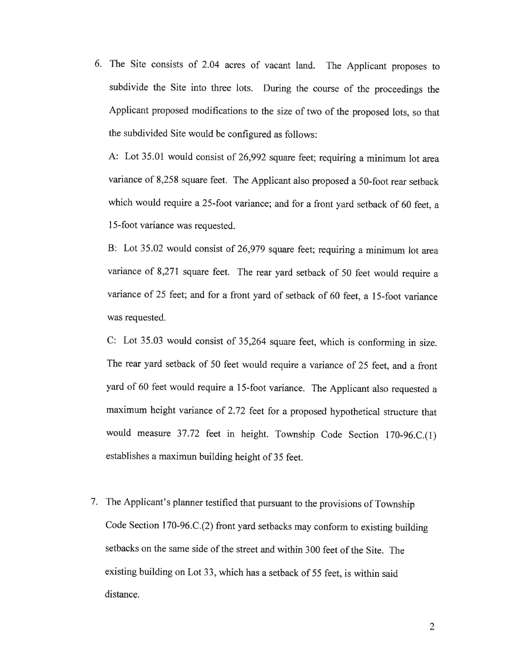6. The Site consists of 2.04 acres of vacant land. The Applicant proposes to subdivide the Site into three lots. During the course of the proceedings the Applicant proposed modifications to the size of two of the proposed lots, so that the subdivided Site would be configured as follows:

A: Lot 35.01 would consist of 26,992 square feet; requiring <sup>a</sup> minimum lot area variance of 8,258 square feet. The Applicant also proposed <sup>a</sup> 50-foot rear setback which would require <sup>a</sup> 25-foot variance; and for <sup>a</sup> front yard setback of <sup>60</sup> feet, <sup>a</sup> 15-foot variance was requested.

B: Lot 35.02 would consist of 26,979 square feet; requiring <sup>a</sup> minimum lot area variance of 8,271 square feet. The rear yard setback of <sup>50</sup> feet would require <sup>a</sup> variance of <sup>25</sup> feet; and for <sup>a</sup> front yard of setback of <sup>60</sup> feet, <sup>a</sup> 15-foot variance was requested.

C: Lot 35.03 would consist of 35,264 square feet, which is conforming in size. The rear yard setback of <sup>50</sup> feet would require <sup>a</sup> variance of <sup>25</sup> feet, and <sup>a</sup> front yard of <sup>60</sup> feet would require <sup>a</sup> 15-foot variance. The Applicant also requested <sup>a</sup> maximum height variance of 2.72 feet for <sup>a</sup> proposed hypothetical structure that would measure 37.72 feet in height. Township Code Section 170-96.C.(l) establishes <sup>a</sup> maximun building height of <sup>35</sup> feet.

7. The Applicant's <sup>p</sup>lanner testified that pursuant to the provisions of Township Code Section 170-96.C.(2) front yard setbacks may conform to existing building setbacks on the same side of the street and within 300 feet of the Site. The existing building on Lot 33, which has <sup>a</sup> setback of <sup>55</sup> feet, is within said distance.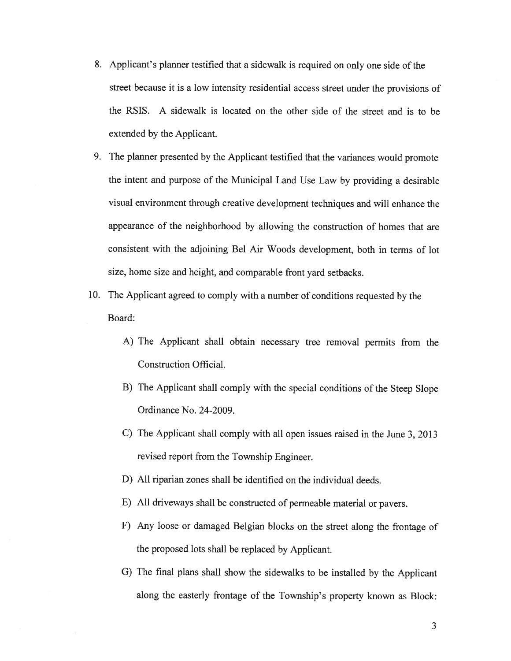- 8. Applicant's planner testified that a sidewalk is required on only one side of the street because it is <sup>a</sup> low intensity residential access street under the provisions of the RSIS. A sidewalk is located on the other side of the street and is to be extended by the Applicant.
- 9. The <sup>p</sup>lanner presented by the Applicant testified that the variances would promote the intent and purpose of the Municipal Land Use Law by providing <sup>a</sup> desirable visual environment through creative development techniques and will enhance the appearance of the neighborhood by allowing the construction of homes that are consistent with the adjoining Bel Air Woods development, both in terms of lot size, home size and height, and comparable front yar<sup>d</sup> setbacks.
- 10. The Applicant agree<sup>d</sup> to comply with <sup>a</sup> number of conditions requested by the Board:
	- A) The Applicant shall obtain necessary tree removal permits from the Construction Official.
	- B) The Applicant shall comply with the special conditions of the Steep Slope Ordinance No. 24-2009.
	- C) The Applicant shall comply with all open issues raised in the June 3, 2013 revised repor<sup>t</sup> from the Township Engineer.
	- D) All riparian zones shall be identified on the individual deeds.
	- E) All driveways shall be constructed of permeable material or payers.
	- F) Any loose or damaged Belgian blocks on the street along the frontage of the proposed lots shall be replaced by Applicant.
	- G) The final <sup>p</sup>lans shall show the sidewalks to be installed by the Applicant along the easterly frontage of the Township's property known as Block: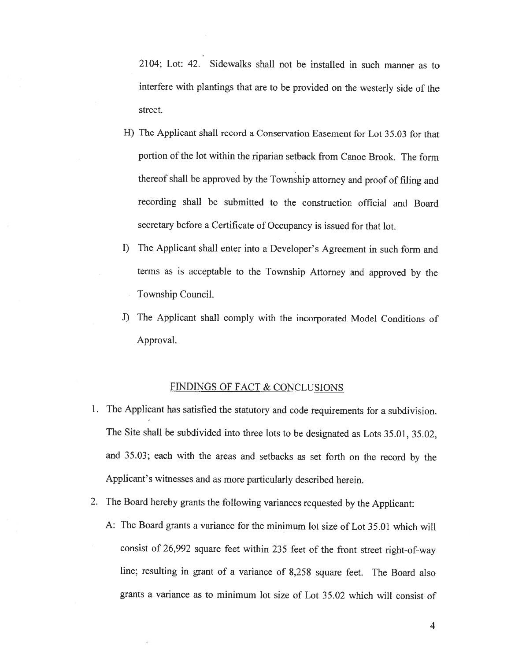2104; Lot: 42. Sidewalks shall not be installed in such manner as to interfere with <sup>p</sup>lantings that are to be provided on the westerly side of the street.

- H) The Applicant shall record <sup>a</sup> Conservation Easement for Lot 35.03 for that portion of the lot within the riparian setback from Canoe Brook. The form thereof shall be approved by the Township attorney and proof of filing and recording shall be submitted to the construction official and Board secretary before <sup>a</sup> Certificate of Occupancy is issued for that lot.
- I) The Applicant shall enter into <sup>a</sup> Developer's Agreement in such form and terms as is acceptable to the Township Attorney and approved by the Township Council.
- J) The Applicant shall comply with the incorporated Model Conditions of Approval.

## FINDINGS OF FACT & CONCLUSIONS

- 1. The Applicant has satisfied the statutory and code requirements for <sup>a</sup> subdivision. The Site shall be subdivided into three lots to be designated as Lots 35.01, 35.02, and 35.03; each with the areas and setbacks as set forth on the record by the Applicant's witnesses and as more particularly described herein.
- 2. The Board hereby grants the following variances requested by the Applicant:
	- A: The Board grants <sup>a</sup> variance for the minimum lot size of Lot 35.01 which will consist of 26,992 square feet within <sup>235</sup> feet of the front street right-of-way line; resulting in grant of <sup>a</sup> variance of 8,258 square feet. The Board also grants <sup>a</sup> variance as to minimum lot size of Lot 35.02 which will consist of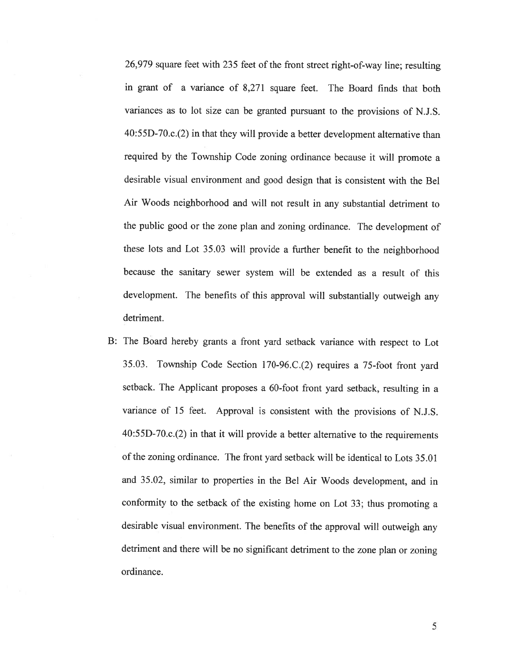26,979 square feet with <sup>235</sup> feet of the front street right-of-way line; resulting in grant of <sup>a</sup> variance of 8,271 square feet. The Board finds that both variances as to lot size can be granted pursuant to the provisions of N.J.S. 40:55D-70.c.(2) in that they will provide <sup>a</sup> better development alternative than required by the Township Code zoning ordinance because it will promote <sup>a</sup> desirable visual environment and good design that is consistent with the Bel Air Woods neighborhood and will not result in any substantial detriment to the public good or the zone <sup>p</sup>lan and zoning ordinance. The development of these lots and Lot 35.03 will provide <sup>a</sup> further benefit to the neighborhood because the sanitary sewer system will be extended as <sup>a</sup> result of this development. The benefits of this approval will substantially outweigh any detriment.

B: The Board hereby grants <sup>a</sup> front yard setback variance with respect to Lot 35.03. Township Code Section l70-96.C.(2) requires <sup>a</sup> 75-foot front yard setback. The Applicant proposes <sup>a</sup> 60-foot front yard setback, resulting in <sup>a</sup> variance of <sup>15</sup> feet. Approval is consistent with the provisions of N.J.S. 40:55D-70.c.(2) in that it will provide <sup>a</sup> better alternative to the requirements of the zoning ordinance. The front yard setback will be identical to Lots 35.01 and 35.02, similar to properties in the Bel Air Woods development, and in conformity to the setback of the existing home on Lot 33; thus promoting <sup>a</sup> desirable visual environment. The benefits of the approval will outweigh any detriment and there will be no significant detriment to the zone <sup>p</sup>lan or zoning ordinance.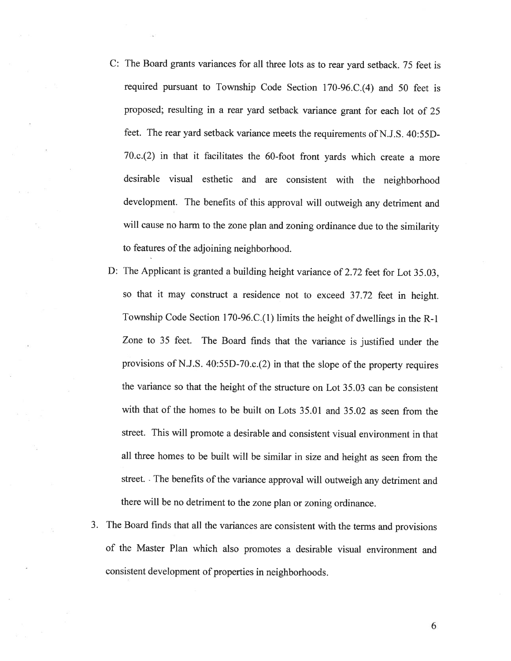- C: The Board grants variances for all three lots as to rear yard setback. <sup>75</sup> feet is required pursuant to Township Code Section 170-96.C.(4) and <sup>50</sup> feet is proposed; resulting in <sup>a</sup> rear yard setback variance grant for each lot of <sup>25</sup> feet. The rear yard setback variance meets the requirements of N.J.S. 40:55D-70.c.(2) in that it facilitates the 60-foot front yards which create <sup>a</sup> more desirable visual esthetic and are consistent with the neighborhood development. The benefits of this approval will outweigh any detriment and will cause no harm to the zone plan and zoning ordinance due to the similarity to features of the adjoining neighborhood.
- D: The Applicant is granted <sup>a</sup> building height variance of 2.72 feet for Lot 35.03, so that it may construct <sup>a</sup> residence not to exceed 37.72 feet in height. Township Code Section 170-96.C.(l) limits the height of dwellings in the R-1 Zone to <sup>35</sup> feet. The Board finds that the variance is justified under the provisions of N.J.S. 40:55D-70.c.(2) in that the slope of the property requires the variance so that the height of the structure on Lot 35.03 can be consistent with that of the homes to be built on Lots 35.01 and 35.02 as seen from the street. This will promote <sup>a</sup> desirable and consistent visual environment in that all three homes to be built will be similar in size and height as seen from the street. The benefits of the variance approval will outweigh any detriment and there will be no detriment to the zone <sup>p</sup>lan or zoning ordinance.
- 3. The Board finds that all the variances are consistent with the terms and provisions of the Master Plan which also promotes <sup>a</sup> desirable visual environment and consistent development of properties in neighborhoods.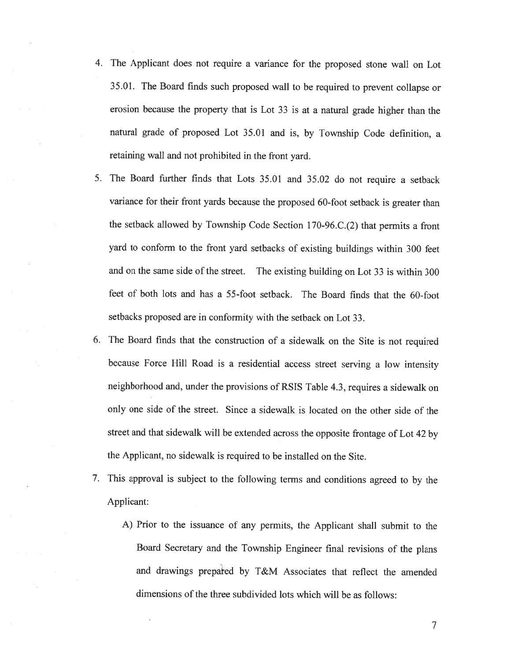- 4. The Applicant does not require <sup>a</sup> variance for the proposed stone wall on Lot 35.01. The Board finds such proposed wall to be required to prevent collapse or erosion because the property that is Lot <sup>33</sup> is at <sup>a</sup> natural grade higher than the natural grade of proposed Lot 35.01 and is, by Township Code definition, <sup>a</sup> retaining wall and not prohibited in the front yard.
- 5. The Board further finds that Lots 35.01 and 35.02 do not require <sup>a</sup> setback variance for their front yards because the proposed 60-foot setback is greater than the setback allowed by Township Code Section <sup>1</sup> 70-96.C.(2) that permits <sup>a</sup> front yard to conform to the front yard setbacks of existing buildings within <sup>300</sup> feet and on the same side of the street. The existing building on Lot <sup>33</sup> is within <sup>300</sup> feet of both lots and has <sup>a</sup> 55-foot setback. The Board finds that the 60-foot setbacks proposed are in conformity with the setback on Lot 33.
- 6. The Board finds that the construction of <sup>a</sup> sidewalk on the Site is not required because Force Hill Road is <sup>a</sup> residential access street serving <sup>a</sup> low intensity neighborhood and. under the provisions of RSIS Table 4.3, requires <sup>a</sup> sidewalk on only one side of the street. Since <sup>a</sup> sidewalk is located on the other side of the street and that sidewalk will be extended across the opposite frontage of Lot <sup>42</sup> by the Applicant, no sidewalk is required to be installed on the Site.
- 7. This approval is subject to the following terms and conditions agreed to by the Applicant:
	- A) Prior to the issuance of any permits, the Applicant shall submit to the Board Secretary and the Township Engineer final revisions of the <sup>p</sup>lans and drawings prepated by T&M Associates that reflect the amended dimensions of the three subdivided lots which will be as follows: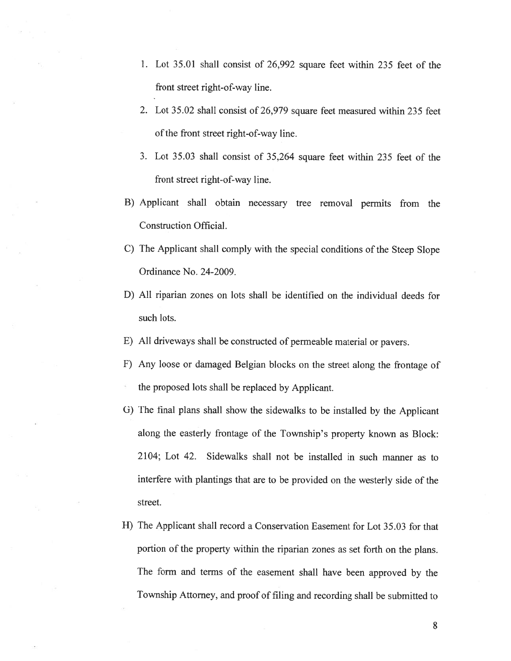- 1. Lot 35.01 shall consist of 26,992 square feet within 235 feet of the front street right-of-way line.
- 2. Lot 35.02 shall consist of 26,979 square feet measured within 235 feet of the front street right-of-way line.
- 3. Lot 35.03 shall consist of 35,264 square feet within 235 feet of the front street right-of-way line.
- B) Applicant shall obtain necessary tree removal permits from the Construction Official.
- C) The Applicant shall comply with the special conditions of the Steep Slope Ordinance No. 24-2009.
- D) All riparian zones on lots shall be identified on the individual deeds for such lots.
- E) All driveways shall be constructed of permeable material or payers.
- F) Any loose or damaged Belgian blocks on the street along the frontage of the proposed lots shall be replaced by Applicant.
- G) The final <sup>p</sup>lans shall show the sidewalks to be installed by the Applicant along the easterly frontage of the Township's property known as Block: 2104; Lot 42. Sidewalks shall not be installed in such manner as to interfere with <sup>p</sup>lantings that are to be provided on the westerly side of the street.
- H) The Applicant shall record <sup>a</sup> Conservation Easement for Lot 35.03 for that portion of the property within the riparian zones as set forth on the <sup>p</sup>lans. The form and terms of the easement shall have been approved by the Township Attorney, and proof of filing and recording shall be submitted to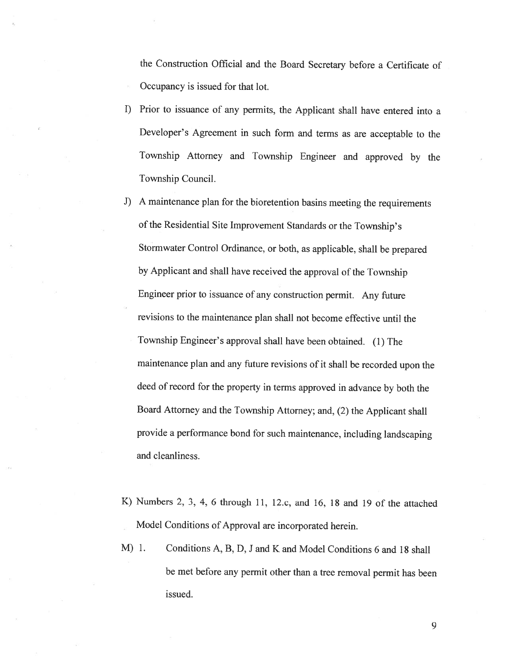the Construction Official and the Board Secretary before <sup>a</sup> Certificate of Occupancy is issued for that lot.

- I) Prior to issuance of any permits, the Applicant shall have entered into <sup>a</sup> Developer's Agreement in such form and terms as are acceptable to the Township Attorney and Township Engineer and approved by the Township Council.
- J) <sup>A</sup> maintenance <sup>p</sup>lan for the bioretention basins meeting the requirements of the Residential Site Improvement Standards or the Township's Storrnwater Control Ordinance, or both, as applicable, shall be prepared by Applicant and shall have received the approval of the Township Engineer prior to issuance of any construction permit. Any future revisions to the maintenance <sup>p</sup>lan shall not become effective until the Township Engineer's approval shall have been obtained. (1) The maintenance <sup>p</sup>lan and any future revisions of it shall be recorded upon the deed of record for the property in terms approved in advance by both the Board Attorney and the Township Attorney; and, (2) the Applicant shall provide <sup>a</sup> performance bond for such maintenance, including landscaping and cleanliness.
- K) Numbers 2, 3, 4, <sup>6</sup> through 11, <sup>12</sup> .c, and 16, <sup>18</sup> and 19 of the attached Model Conditions of Approval are incorporated herein.
- M) 1. Conditions A, B, D. J and K and Model Conditions 6 and 18 shall be met before any permit other than <sup>a</sup> tree removal permit has been issued.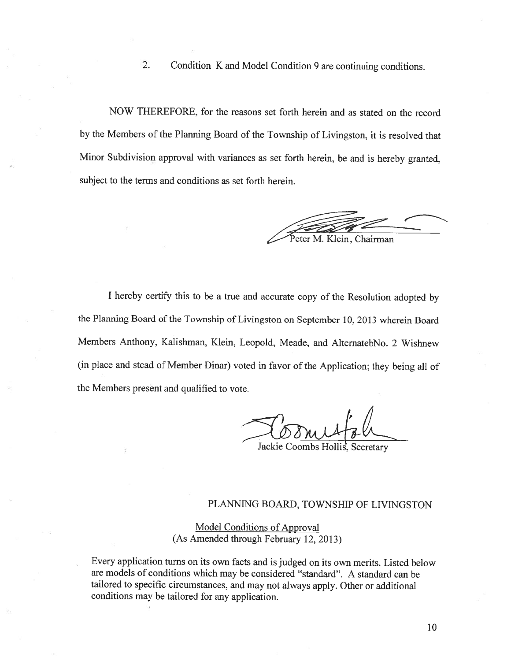2. Condition <sup>K</sup> and Model Condition <sup>9</sup> are continuing conditions.

NOW THEREFORE, for the reasons set forth herein and as stated on the record by the Members of the Planning Board of the Township of Livingston, it is resolved that Minor Subdivision approval with variances as set forth herein, be and is hereby granted, subject to the terms and conditions as set forth herein.

eter M. Klein, Chairman

<sup>I</sup> hereby certify this to be <sup>a</sup> true and accurate copy of the Resolution adopted by the Planning Board of the Township of Livingston on September 10, <sup>2013</sup> wherein Board Members Anthony, Kalishman, Klein, Leopold, Meade, and AlternatebNo. <sup>2</sup> Wishnew (in <sup>p</sup>lace and stead of Member Dinar) voted in favor of the Application; they being all of the Members present and qualified to vote.

Jackie Coombs Hollis. Secretary

# PLANNING BOARD, TOWNSHIP OF LIVINGSTON

Model Conditions of Approval (As Amended through February 12, 2013)

Every application turns on its own facts and is judged on its own merits. Listed below are models of conditions which may be considered "standard". <sup>A</sup> standard can be tailored to specific circumstances, and may not always apply. Other or additional conditions may be tailored for any application.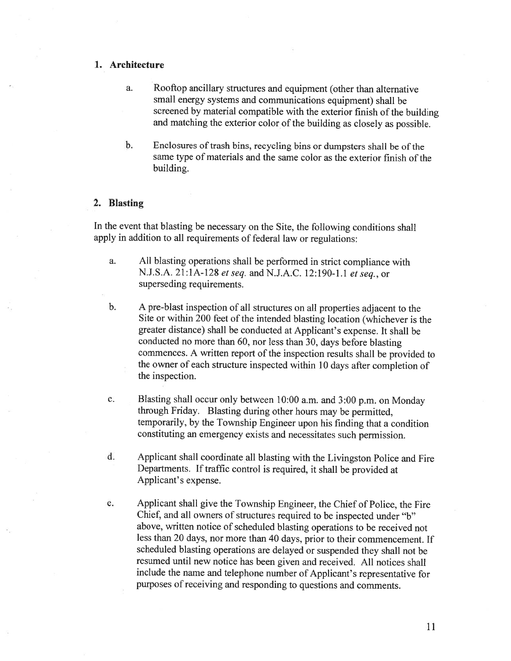### 1. Architecture

- a. Rooftop ancillary structures and equipment (other than alternative small energy systems and communications equipment) shall be screened by material compatible with the exterior finish of the building and matching the exterior color of the building as closely as possible.
- b. Enclosures of trash bins, recycling bins or dumpsters shall be of the same type of materials and the same color as the exterior finish of the building.

### 2. Blasting

In the event that blasting be necessary on the Site, the following conditions shall apply in addition to all requirements of federal law or regulations:

- a. All blasting operations shall be performed in strict compliance with N.J.S.A. 2l:lA-l28 etseq. and N.J.A.C. 12:190-1.1 et seq., or superseding requirements.
- b. <sup>A</sup> pre-blast inspection of all structures on all properties adjacent to the Site or within <sup>200</sup> feet of the intended blasting location (whichever is the greater distance) shall be conducted at Applicant's expense. It shall be conducted no more than 60, nor less than 30, days before blasting commences. <sup>A</sup> written report of the inspection results shall be provided to the owner of each structure inspected within <sup>10</sup> days after completion of the inspection.
- c. Blasting shall occur only between 10:00 a.m. and 3:00 p.m. on Monday through Friday. Blasting during other hours may be permitted, temporarily, by the Township Engineer upon his finding that <sup>a</sup> condition constituting an emergency exists and necessitates such permission.
- d. Applicant shall coordinate all blasting with the Livingston Police and Fire Departments. If traffic control is required, it shall be provided at Applicant's expense.
- e. Applicant shall <sup>g</sup>ive the Township Engineer, the Chief of Police, the Fire Chief, and all owners of structures required to be inspected under "b" above, written notice of scheduled blasting operations to be received not less than <sup>20</sup> days, nor more than <sup>40</sup> days, prior to their commencement. If scheduled blasting operations are delayed or suspended they shall not be resumed until new notice has been <sup>g</sup>iven and received. All notices shall include the name and telephone number of Applicant's representative for purposes of receiving and responding to questions and comments.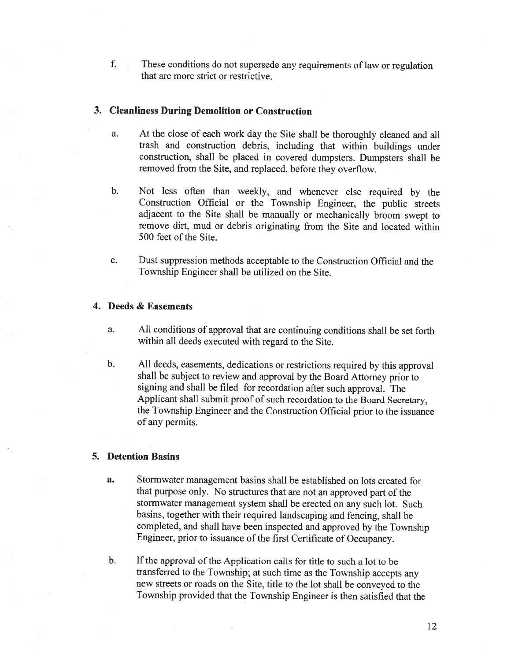f. These conditions do not supersede any requirements of law or regulation that are more strict or restrictive.

#### 3. Cleanliness During Demolition or Construction

- a. At the close of each work day the Site shall be thoroughly cleaned and all trash and construction debris, including that within buildings under construction, shall be <sup>p</sup>laced in covered dumpsters. Dumpsters shall be removed from the Site, and replaced, before they overflow.
- b. Not less often than weekly, and whenever else required by the Construction Official or the Township Engineer, the public streets adjacent to the Site shall be manually or mechanically broom swept to remove dirt, mud or debris originating from the Site and located within 500 feet of the Site.
- c. Dust suppression methods acceptable to the Construction Official and the Township Engineer shall be utilized on the Site.

### 4. Deeds & Easements

- a. All conditions of approval that are continuing conditions shall be set forth within all deeds executed with regard to the Site.
- b. All deeds, easements, dedications or restrictions required by this approval shall be subject to review and approval by the Board Attorney prior to signing and shall be filed for recordation after such approval. The Applicant shall submit proof of such recordation to the Board Secretary, the Township Engineer and the Construction Official prior to the issuance of any permits.

## 5. Detention Basins

- a. Stormwater management basins shall be established on lots created for that purpose only. No structures that are not an approved part of the stormwater management system shall be erected on any such lot. Such basins, together with their required landscaping and fencing, shall be completed, and shall have been inspected and approved by the Township Engineer, prior to issuance of the first Certificate of Occupancy.
- b. If the approval of the Application calls for title to such a lot to be transferred to the Township; at such time as the Township accepts any new streets or roads on the Site, title to the lot shall be conveyed to the Township provided that the Township Engineer is then satisfied that the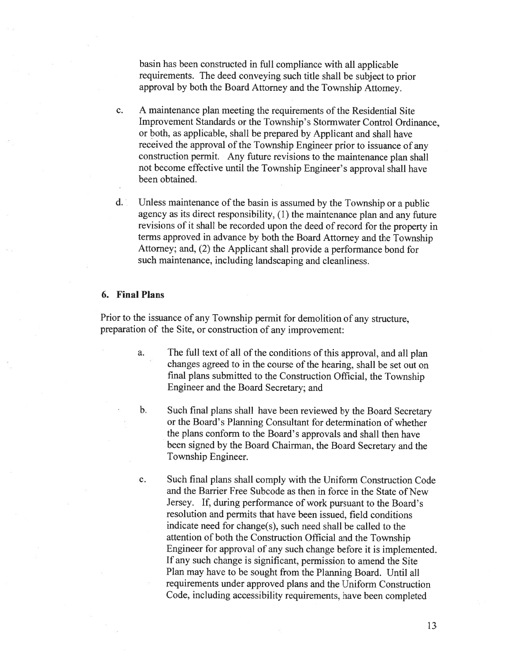basin has been constructed in full compliance with all applicable requirements. The deed conveying such title shall be subject to prior approva<sup>l</sup> by both the Board Attorney and the Township Attorney.

- c. A maintenance plan meeting the requirements of the Residential Site Improvement Standards or the Township's Stormwater Control Ordinance, or both, as applicable, shall be prepared by Applicant and shall have received the approva<sup>l</sup> of the Township Engineer prior to issuance of any construction permit. Any future revisions to the maintenance <sup>p</sup>lan shall not become effective until the Township Engineer's approva<sup>l</sup> shall have been obtained.
- d. Unless maintenance of the basin is assumed by the Township or <sup>a</sup> public agency as its direct responsibility, (1) the maintenance <sup>p</sup>lan and any future revisions of it shall be recorded upon the deed of record for the property in terms approve<sup>d</sup> in advance by both the Board Attorney and the Township Attorney; and. (2) the Applicant shall provide <sup>a</sup> performance bond for such maintenance, including landscaping and cleanliness.

#### 6. Final Plans

Prior to the issuance of any Township permit for demolition of any structure, preparation of the Site. or construction of any improvement:

- a. The full text of all of the conditions of this approval, and all <sup>p</sup>lan changes agreed to in the course of the hearing, shall be set out on final <sup>p</sup>lans submitted to the Construction Official, the Township Engineer and the Board Secretary; and
- b. Such final <sup>p</sup>lans shall have been reviewed by the Board Secretary or the Board's Planning Consultant for determination of whether the <sup>p</sup>lans conform to the Board's approvals and shall then have been signed by the Board Chairman, the Board Secretary and the Township Engineer.
- c. Such final plans shall comply with the Uniform Construction Code and the Barrier Free Subcode as then in force in the State of New Jersey. If. during performance of work pursuan<sup>t</sup> to the Board's resolution and permits that have been issued, field conditions indicate need for change(s), such need shall be called to the attention of both the Construction Official and the Township Engineer for approva<sup>l</sup> of any such change before it is implemented. If any such change is significant, permission to amend the Site Plan may have to be sought from the Planning Board. Until all requirements under approved plans and the Uniform Construction Code, including accessibility requirements, have been completed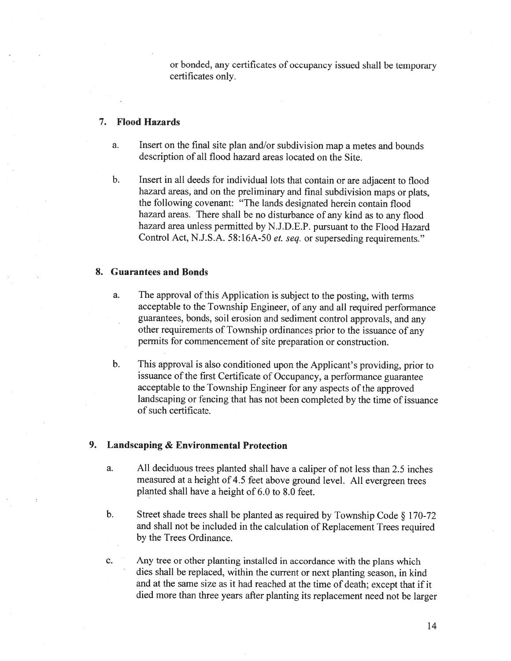or bonded, any certificates of occupancy issued shall be temporary certificates only.

# 7. Flood Hazards

- a. Insert on the final site <sup>p</sup>lan and/or subdivision map <sup>a</sup> metes and bounds description of all flood hazard areas located on the Site.
- b. Insert in all deeds for individual lots that contain or are adjacent to flood hazard areas. and on the preliminary and final subdivision maps or <sup>p</sup>lats. the following covenant: 'The lands designated herein contain flood hazard areas. There shall be no disturbance of any kind as to any flood hazard area unless permitted by N.J.D.E.P. pursuant to the Flood Hazard Control Act, N.J.S.A. 58:16A-50 et. seq. or superseding requirements."

# 8. Guarantees and Bonds

- a. The approval of this Application is subject to the posting, with terms acceptable to the Township Engineer, of any and all required performance guarantees, bonds, soil erosion and sediment control approvals, and any other requirements of Township ordinances prior to the issuance of any permits for commencement of site preparation or construction.
- b. This approval is also conditioned upon the Applicant's providing, prior to issuance of the first Certificate of Occupancy, <sup>a</sup> performance guarantee acceptable to the Township Engineer for any aspects of the approved landscaping or fencing that has not been completed by the time of issuance of such certificate.

#### 9. Landscaping & Environmental Protection

- a. All deciduous trees <sup>p</sup>lanted shall have <sup>a</sup> caliper of not less than 2.5 inches measured at <sup>a</sup> height of 4.5 feet above ground level. All evergreen trees planted shall have <sup>a</sup> height of 6.0 to 8.0 feet.
- b. Street shade trees shall be <sup>p</sup>lanted as required by Township Code § 170-72 and shall not be included in the calculation of Replacement Trees required by the Trees Ordinance.

c. Any tree or other <sup>p</sup>lanting installed in accordance with the <sup>p</sup>lans which dies shall be replaced, within the current or next <sup>p</sup>lanting season, in kind and at the same size as it had reached at the time of death; except that if it died more than three years after <sup>p</sup>lanting its replacement need not be larger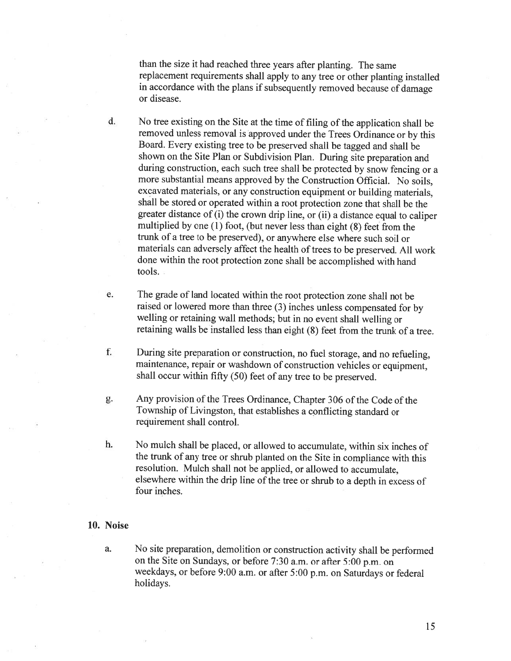than the size it had reached three years after <sup>p</sup>lanting. The same replacement requirements shall apply to any tree or other <sup>p</sup>lanting installed in accordance with the <sup>p</sup>lans if subsequently removed because of damage or disease.

d. No tree existing on the Site at the time of filing of the application shall be removed unless removal is approved under the Trees Ordinance or by this Board. Every existing tree to be preserved shall be tagged and shall be shown on the Site Plan or Subdivision Plan. During site preparation and during construction, each such tree shall be protected by snow fencing or a more substantial means approved by the Construction Official. No soils. excavated materials, or any construction equipment or building materials, shall be stored or operated within <sup>a</sup> root protection zone that shall be the greater distance of (i) the crown drip line, or (ii) <sup>a</sup> distance equa<sup>l</sup> to caliper multiplied by one (1) foot, (but never less than eight (8) feet from the trunk of <sup>a</sup> tree to be preserved), or anywhere else where such soil or materials can adversely affect the health of trees to be preserved. All work done within the root protection zone shall be accomplished with hand tools.

e. The grade of land located within the root protection zone shall not be raised or lowered more than three (3) inches unless compensated for by welling or retaining wall methods; but in no event shall welling or retaining walls be installed less than eight (8) feet from the trunk of <sup>a</sup> tree.

f. During site preparation or construction, no fuel storage, and no refueling, maintenance, repair or washdown of construction vehicles or equipment, shall occur within fifty (50) feet of any tree to be preserved.

g. Any provision of the Trees Ordinance, Chapter 306 of the Code of the Township of Livingston, that establishes <sup>a</sup> conflicting standard or requirement shall control.

h. No mulch shall be <sup>p</sup>laced, or allowed to accumulate, within six inches of the trunk of any tree or shrub <sup>p</sup>lanted on the Site in compliance with this resolution. Mulch shall not be applied, or allowed to accumulate, elsewhere within the drip line of the tree or shrub to <sup>a</sup> depth in excess of four inches.

### 10. Noise

a. No site preparation, demolition or construction activity shall be performed on the Site on Sundays, or before 7:30 a.m. or after 5:00 p.m. on weekdays, or before 9:00 am. or after 5:00 p.m. on Saturdays or federal holidays.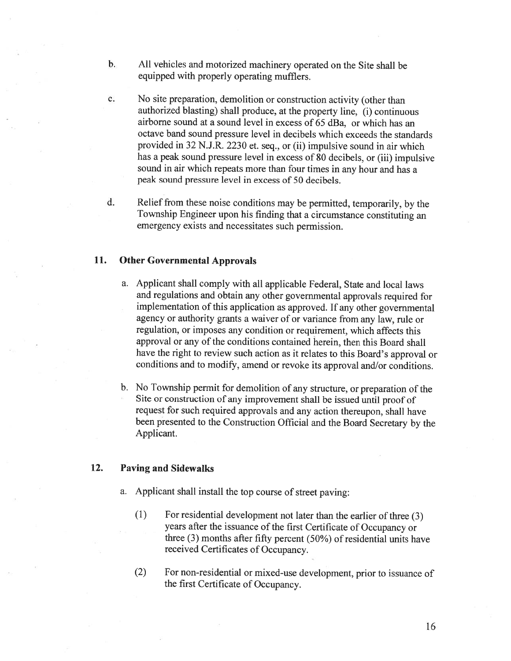- b. All vehicles and motorized machinery operated on the Site shall be equipped with properly operating mufflers.
- c. No site preparation, demolition or construction activity (other than authorized blasting) shall produce, at the property line, (i) continuous airborne sound at <sup>a</sup> sound level in excess of 65 dBa, or which has an octave band sound pressure level in decibels which exceeds the standards provided in 32 N.J.R. 2230 et. seq., or (ii) impulsive sound in air which has <sup>a</sup> peak sound pressure level in excess of <sup>80</sup> decibels, or (iii) impulsive sound in air which repeats more than four times in any hour and has <sup>a</sup> peak sound pressure level in excess of 50 decibels.
- d. Relief from these noise conditions may be permitted, temporarily, by the Township Engineer upon his finding that <sup>a</sup> circumstance constituting an emergency exists and necessitates such permission.

# 11. Other Governmental Approvals

- a. Applicant shall comply with all applicable Federal, State and local laws and regulations and obtain any other governmental approvals required for implementation of this application as approved. If any other governmental agency or authority grants <sup>a</sup> waiver of or variance from any law, rule or regulation, or imposes any condition or requirement, which affects this approval or any of the conditions contained herein, then this Board shall have the right to review such action as it relates to this Board's approval or conditions and to modify. amend or revoke its approval and/or conditions.
- b. No Township permit for demolition of any structure, or preparation of the Site or construction of any improvement shall be issued until proof of request for such required approvals and any action thereupon, shall have been presented to the Construction Official and the Board Secretary by the Applicant.

# 12. Paving and Sidewalks

- a. Applicant shall install the top course of street paving:
	- (1) For residential development not later than the earlier of three (3) years after the issuance of the first Certificate of Occupancy or three  $(3)$  months after fifty percent  $(50%)$  of residential units have received Certificates of Occupancy.
	- (2) For non-residential or mixed-use development, prior to issuance of the first Certificate of Occupancy.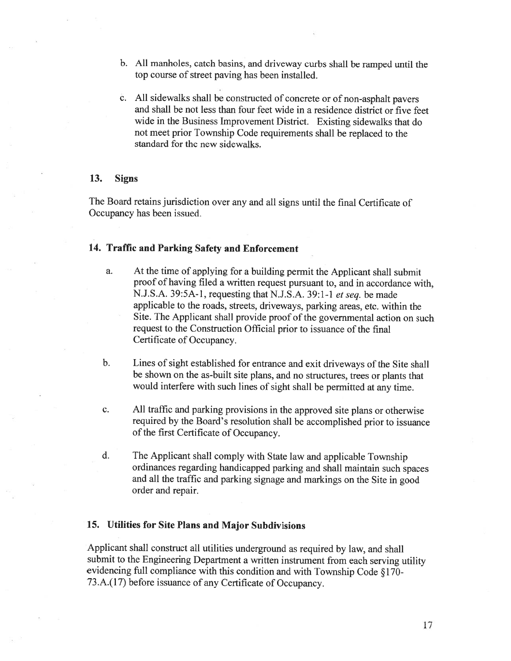- b. All manholes, catch basins, and driveway curbs shall be rampe<sup>d</sup> until the top course of street paving has been installed.
- c. All sidewalks shall be constructed of concrete or of non-asphalt payers and shall be not less than four feet wide in <sup>a</sup> residence district or five feet wide in the Business Improvement District. Existing sidewalks that do not meet prior Township Code requirements shall be replaced to the standard for the new sidewalks.

### 13. Signs

The Board retains jurisdiction over any and all signs until the final Certificate of Occupancy has been issued.

# 14. Traffic and Parking Safety and Enforcement

- a. At the time of applying for <sup>a</sup> building permit the Applicant shall submit proo<sup>f</sup> of having filed <sup>a</sup> written reques<sup>t</sup> pursuan<sup>t</sup> to, and in accordance with, N.J.S.A. 39:5A-l , requesting that N.J.S.A. 39:1-1 et seq. be made applicable to the roads, streets, driveways, parking areas, etc. within the Site. The Applicant shall provide proo<sup>f</sup> of the governmental action on such reques<sup>t</sup> to the Construction Official prior to issuance of the final Certificate of Occupancy.
- b. Lines of sight established for entrance and exit driveways of the Site shall be shown on the as-built site <sup>p</sup>lans, and no structures. trees or <sup>p</sup>lants that would interfere with such lines of sight shall be permitted at any time.
- c. All traffic and parking provisions in the approve<sup>d</sup> site <sup>p</sup>lans or otherwise required by the Board's resolution shall be accomplished prior to issuance of the first Certificate of Occupancy.
- d. The Applicant shall comply with State law and applicable Township ordinances regarding handicapped parking and shall maintain such spaces and all the traffic and parking signage and markings on the Site in goo<sup>d</sup> order and repair.

### 15. Utilities for Site Plans and Major Subdivisions

Applicant shall construct all utilities underground as required by law, and shall submit to the Engineering Department <sup>a</sup> written instrument from each serving utility evidencing full compliance with this condition and with Township Code § 170- 73.A.(17) before issuance of any Certificate of Occupancy.